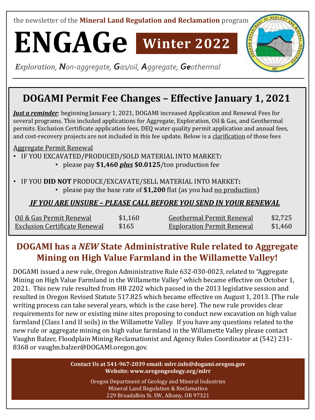the newsletter of the **Mineral Land Regulation and Reclamation** program

**ENGAGe Winter 2022**

*Exploration, Non-aggregate, Gas/oil, Aggregate, Geothermal*

# **DOGAMI Permit Fee Changes – Effective January 1, 2021**

*Just a reminder*: beginning January 1, 2021, DOGAMI increased Application and Renewal Fees for several programs. This included applications for Aggregate, Exploration, Oil & Gas, and Geothermal permits. Exclusion Certificate application fees, DEQ water quality permit application and annual fees, and cost-recovery projects are not included in this fee update. Below is a clarification of those fees

Aggregate Permit Renewal

- IF YOU EXCAVATED/PRODUCED/SOLD MATERIAL INTO MARKET*:*
	- please pay **\$1,460** *plus* **\$0.0125**/ton production fee

#### • IF YOU **DID NOT** PRODUCE/EXCAVATE/SELL MATERIAL INTO MARKET**:**

• please pay the base rate of **\$1,200** flat (as you had no production)

#### *IF YOU ARE UNSURE – PLEASE CALL BEFORE YOU SEND IN YOUR RENEWAL*

| Oil & Gas Permit Renewal      | \$1,160 | Geothermal Permit Renewal         | \$2,725 |
|-------------------------------|---------|-----------------------------------|---------|
| Exclusion Certificate Renewal | \$165   | <b>Exploration Permit Renewal</b> | \$1,460 |

## **DOGAMI has a** *NEW* **State Administrative Rule related to Aggregate Mining on High Value Farmland in the Willamette Valley!**

DOGAMI issued a new rule, Oregon Administrative Rule 632-030-0023, related to "Aggregate Mining on High Value Farmland in the Willamette Valley" which became effective on October 1, 2021. This new rule resulted from HB 2202 which passed in the 2013 legislative session and resulted in Oregon Revised Statute 517.825 which became effective on August 1, 2013. [The rule writing process can take several years, which is the case here]. The new rule provides clear requirements for new or existing mine sites proposing to conduct new excavation on high value farmland (Class I and II soils) in the Willamette Valley. If you have any questions related to the new rule or aggregate mining on high value farmland in the Willamette Valley please contact Vaughn Balzer, Floodplain Mining Reclamationist and Agency Rules Coordinator at (542) 231- 8368 or vaughn.balzer@DOGAMI.oregon.gov.

> **Contact Us at 541-967-2039 email: mlrr.info@dogami.oregon.gov Website: www.oregongeology.org/mlrr**

> > Oregon Department of Geology and Mineral Industries Mineral Land Regulation & Reclamation 229 Broadalbin St. SW, Albany, OR 97321